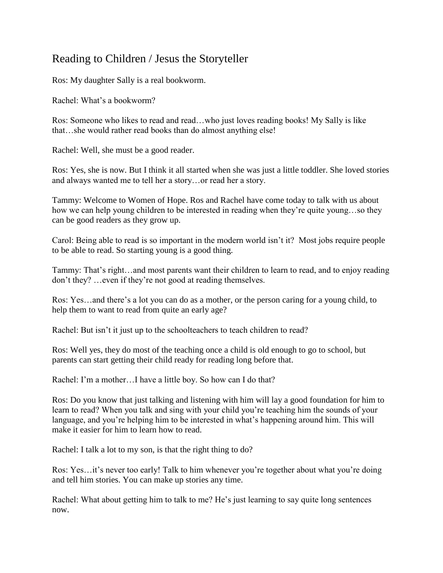## Reading to Children / Jesus the Storyteller

Ros: My daughter Sally is a real bookworm.

Rachel: What's a bookworm?

Ros: Someone who likes to read and read…who just loves reading books! My Sally is like that…she would rather read books than do almost anything else!

Rachel: Well, she must be a good reader.

Ros: Yes, she is now. But I think it all started when she was just a little toddler. She loved stories and always wanted me to tell her a story…or read her a story.

Tammy: Welcome to Women of Hope. Ros and Rachel have come today to talk with us about how we can help young children to be interested in reading when they're quite young…so they can be good readers as they grow up.

Carol: Being able to read is so important in the modern world isn't it? Most jobs require people to be able to read. So starting young is a good thing.

Tammy: That's right…and most parents want their children to learn to read, and to enjoy reading don't they? …even if they're not good at reading themselves.

Ros: Yes…and there's a lot you can do as a mother, or the person caring for a young child, to help them to want to read from quite an early age?

Rachel: But isn't it just up to the schoolteachers to teach children to read?

Ros: Well yes, they do most of the teaching once a child is old enough to go to school, but parents can start getting their child ready for reading long before that.

Rachel: I'm a mother…I have a little boy. So how can I do that?

Ros: Do you know that just talking and listening with him will lay a good foundation for him to learn to read? When you talk and sing with your child you're teaching him the sounds of your language, and you're helping him to be interested in what's happening around him. This will make it easier for him to learn how to read.

Rachel: I talk a lot to my son, is that the right thing to do?

Ros: Yes…it's never too early! Talk to him whenever you're together about what you're doing and tell him stories. You can make up stories any time.

Rachel: What about getting him to talk to me? He's just learning to say quite long sentences now.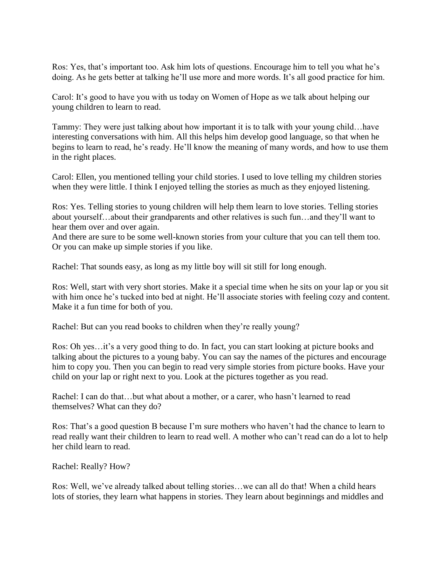Ros: Yes, that's important too. Ask him lots of questions. Encourage him to tell you what he's doing. As he gets better at talking he'll use more and more words. It's all good practice for him.

Carol: It's good to have you with us today on Women of Hope as we talk about helping our young children to learn to read.

Tammy: They were just talking about how important it is to talk with your young child…have interesting conversations with him. All this helps him develop good language, so that when he begins to learn to read, he's ready. He'll know the meaning of many words, and how to use them in the right places.

Carol: Ellen, you mentioned telling your child stories. I used to love telling my children stories when they were little. I think I enjoyed telling the stories as much as they enjoyed listening.

Ros: Yes. Telling stories to young children will help them learn to love stories. Telling stories about yourself…about their grandparents and other relatives is such fun…and they'll want to hear them over and over again.

And there are sure to be some well-known stories from your culture that you can tell them too. Or you can make up simple stories if you like.

Rachel: That sounds easy, as long as my little boy will sit still for long enough.

Ros: Well, start with very short stories. Make it a special time when he sits on your lap or you sit with him once he's tucked into bed at night. He'll associate stories with feeling cozy and content. Make it a fun time for both of you.

Rachel: But can you read books to children when they're really young?

Ros: Oh yes…it's a very good thing to do. In fact, you can start looking at picture books and talking about the pictures to a young baby. You can say the names of the pictures and encourage him to copy you. Then you can begin to read very simple stories from picture books. Have your child on your lap or right next to you. Look at the pictures together as you read.

Rachel: I can do that...but what about a mother, or a carer, who hasn't learned to read themselves? What can they do?

Ros: That's a good question B because I'm sure mothers who haven't had the chance to learn to read really want their children to learn to read well. A mother who can't read can do a lot to help her child learn to read.

Rachel: Really? How?

Ros: Well, we've already talked about telling stories…we can all do that! When a child hears lots of stories, they learn what happens in stories. They learn about beginnings and middles and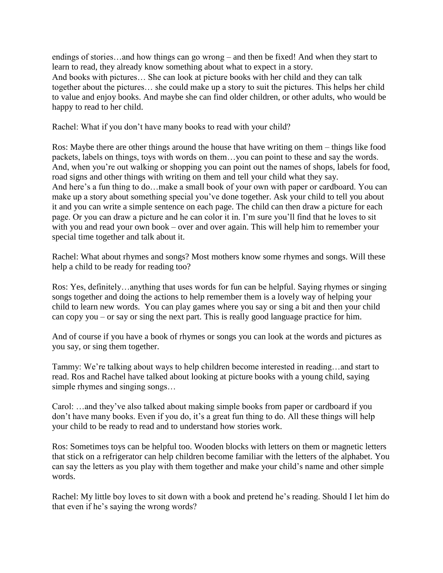endings of stories…and how things can go wrong – and then be fixed! And when they start to learn to read, they already know something about what to expect in a story. And books with pictures… She can look at picture books with her child and they can talk together about the pictures… she could make up a story to suit the pictures. This helps her child to value and enjoy books. And maybe she can find older children, or other adults, who would be happy to read to her child.

Rachel: What if you don't have many books to read with your child?

Ros: Maybe there are other things around the house that have writing on them – things like food packets, labels on things, toys with words on them…you can point to these and say the words. And, when you're out walking or shopping you can point out the names of shops, labels for food, road signs and other things with writing on them and tell your child what they say. And here's a fun thing to do…make a small book of your own with paper or cardboard. You can make up a story about something special you've done together. Ask your child to tell you about it and you can write a simple sentence on each page. The child can then draw a picture for each page. Or you can draw a picture and he can color it in. I'm sure you'll find that he loves to sit with you and read your own book – over and over again. This will help him to remember your special time together and talk about it.

Rachel: What about rhymes and songs? Most mothers know some rhymes and songs. Will these help a child to be ready for reading too?

Ros: Yes, definitely…anything that uses words for fun can be helpful. Saying rhymes or singing songs together and doing the actions to help remember them is a lovely way of helping your child to learn new words. You can play games where you say or sing a bit and then your child can copy you – or say or sing the next part. This is really good language practice for him.

And of course if you have a book of rhymes or songs you can look at the words and pictures as you say, or sing them together.

Tammy: We're talking about ways to help children become interested in reading…and start to read. Ros and Rachel have talked about looking at picture books with a young child, saying simple rhymes and singing songs…

Carol: …and they've also talked about making simple books from paper or cardboard if you don't have many books. Even if you do, it's a great fun thing to do. All these things will help your child to be ready to read and to understand how stories work.

Ros: Sometimes toys can be helpful too. Wooden blocks with letters on them or magnetic letters that stick on a refrigerator can help children become familiar with the letters of the alphabet. You can say the letters as you play with them together and make your child's name and other simple words.

Rachel: My little boy loves to sit down with a book and pretend he's reading. Should I let him do that even if he's saying the wrong words?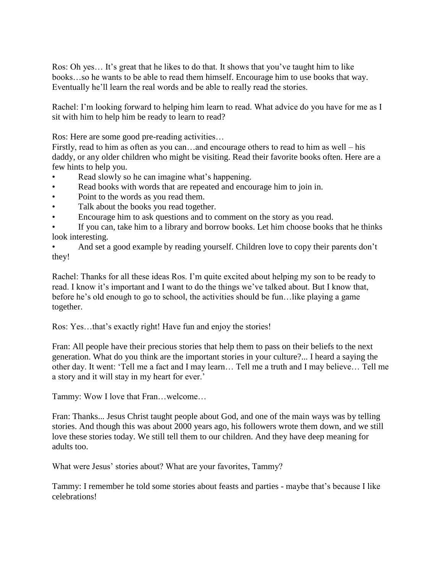Ros: Oh yes… It's great that he likes to do that. It shows that you've taught him to like books…so he wants to be able to read them himself. Encourage him to use books that way. Eventually he'll learn the real words and be able to really read the stories.

Rachel: I'm looking forward to helping him learn to read. What advice do you have for me as I sit with him to help him be ready to learn to read?

Ros: Here are some good pre-reading activities…

Firstly, read to him as often as you can…and encourage others to read to him as well – his daddy, or any older children who might be visiting. Read their favorite books often. Here are a few hints to help you.

- Read slowly so he can imagine what's happening.
- Read books with words that are repeated and encourage him to join in.
- Point to the words as you read them.
- Talk about the books you read together.
- Encourage him to ask questions and to comment on the story as you read.
- If you can, take him to a library and borrow books. Let him choose books that he thinks look interesting.
- And set a good example by reading yourself. Children love to copy their parents don't they!

Rachel: Thanks for all these ideas Ros. I'm quite excited about helping my son to be ready to read. I know it's important and I want to do the things we've talked about. But I know that, before he's old enough to go to school, the activities should be fun…like playing a game together.

Ros: Yes…that's exactly right! Have fun and enjoy the stories!

Fran: All people have their precious stories that help them to pass on their beliefs to the next generation. What do you think are the important stories in your culture?... I heard a saying the other day. It went: 'Tell me a fact and I may learn… Tell me a truth and I may believe… Tell me a story and it will stay in my heart for ever.'

Tammy: Wow I love that Fran…welcome…

Fran: Thanks... Jesus Christ taught people about God, and one of the main ways was by telling stories. And though this was about 2000 years ago, his followers wrote them down, and we still love these stories today. We still tell them to our children. And they have deep meaning for adults too.

What were Jesus' stories about? What are your favorites, Tammy?

Tammy: I remember he told some stories about feasts and parties - maybe that's because I like celebrations!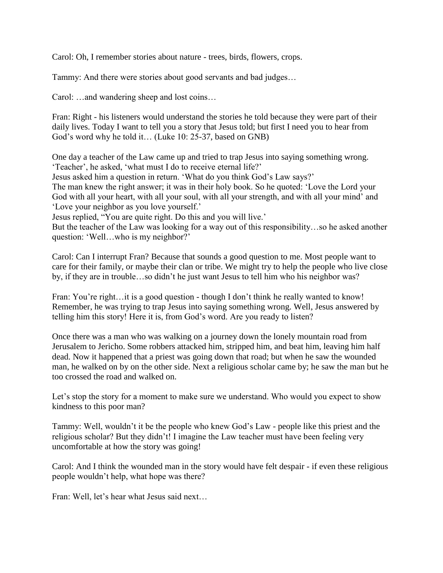Carol: Oh, I remember stories about nature - trees, birds, flowers, crops.

Tammy: And there were stories about good servants and bad judges…

Carol: …and wandering sheep and lost coins…

Fran: Right - his listeners would understand the stories he told because they were part of their daily lives. Today I want to tell you a story that Jesus told; but first I need you to hear from God's word why he told it… (Luke 10: 25-37, based on GNB)

One day a teacher of the Law came up and tried to trap Jesus into saying something wrong. 'Teacher', he asked, 'what must I do to receive eternal life?'

Jesus asked him a question in return. 'What do you think God's Law says?'

The man knew the right answer; it was in their holy book. So he quoted: 'Love the Lord your God with all your heart, with all your soul, with all your strength, and with all your mind' and 'Love your neighbor as you love yourself.'

Jesus replied, "You are quite right. Do this and you will live.'

But the teacher of the Law was looking for a way out of this responsibility…so he asked another question: 'Well…who is my neighbor?'

Carol: Can I interrupt Fran? Because that sounds a good question to me. Most people want to care for their family, or maybe their clan or tribe. We might try to help the people who live close by, if they are in trouble…so didn't he just want Jesus to tell him who his neighbor was?

Fran: You're right...it is a good question - though I don't think he really wanted to know! Remember, he was trying to trap Jesus into saying something wrong. Well, Jesus answered by telling him this story! Here it is, from God's word. Are you ready to listen?

Once there was a man who was walking on a journey down the lonely mountain road from Jerusalem to Jericho. Some robbers attacked him, stripped him, and beat him, leaving him half dead. Now it happened that a priest was going down that road; but when he saw the wounded man, he walked on by on the other side. Next a religious scholar came by; he saw the man but he too crossed the road and walked on.

Let's stop the story for a moment to make sure we understand. Who would you expect to show kindness to this poor man?

Tammy: Well, wouldn't it be the people who knew God's Law - people like this priest and the religious scholar? But they didn't! I imagine the Law teacher must have been feeling very uncomfortable at how the story was going!

Carol: And I think the wounded man in the story would have felt despair - if even these religious people wouldn't help, what hope was there?

Fran: Well, let's hear what Jesus said next…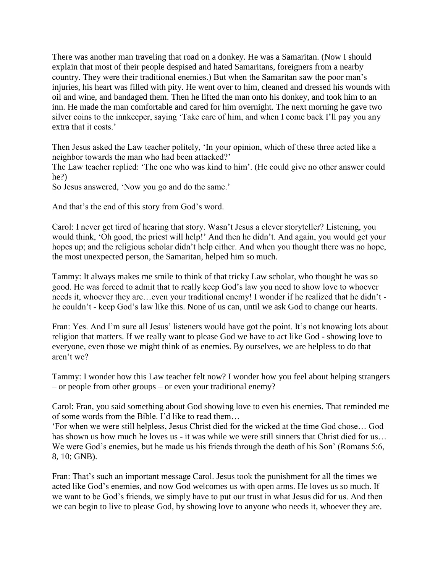There was another man traveling that road on a donkey. He was a Samaritan. (Now I should explain that most of their people despised and hated Samaritans, foreigners from a nearby country. They were their traditional enemies.) But when the Samaritan saw the poor man's injuries, his heart was filled with pity. He went over to him, cleaned and dressed his wounds with oil and wine, and bandaged them. Then he lifted the man onto his donkey, and took him to an inn. He made the man comfortable and cared for him overnight. The next morning he gave two silver coins to the innkeeper, saying 'Take care of him, and when I come back I'll pay you any extra that it costs.'

Then Jesus asked the Law teacher politely, 'In your opinion, which of these three acted like a neighbor towards the man who had been attacked?'

The Law teacher replied: 'The one who was kind to him'. (He could give no other answer could he?)

So Jesus answered, 'Now you go and do the same.'

And that's the end of this story from God's word.

Carol: I never get tired of hearing that story. Wasn't Jesus a clever storyteller? Listening, you would think, 'Oh good, the priest will help!' And then he didn't. And again, you would get your hopes up; and the religious scholar didn't help either. And when you thought there was no hope, the most unexpected person, the Samaritan, helped him so much.

Tammy: It always makes me smile to think of that tricky Law scholar, who thought he was so good. He was forced to admit that to really keep God's law you need to show love to whoever needs it, whoever they are…even your traditional enemy! I wonder if he realized that he didn't he couldn't - keep God's law like this. None of us can, until we ask God to change our hearts.

Fran: Yes. And I'm sure all Jesus' listeners would have got the point. It's not knowing lots about religion that matters. If we really want to please God we have to act like God - showing love to everyone, even those we might think of as enemies. By ourselves, we are helpless to do that aren't we?

Tammy: I wonder how this Law teacher felt now? I wonder how you feel about helping strangers – or people from other groups – or even your traditional enemy?

Carol: Fran, you said something about God showing love to even his enemies. That reminded me of some words from the Bible. I'd like to read them…

'For when we were still helpless, Jesus Christ died for the wicked at the time God chose… God has shown us how much he loves us - it was while we were still sinners that Christ died for us... We were God's enemies, but he made us his friends through the death of his Son' (Romans 5:6, 8, 10; GNB).

Fran: That's such an important message Carol. Jesus took the punishment for all the times we acted like God's enemies, and now God welcomes us with open arms. He loves us so much. If we want to be God's friends, we simply have to put our trust in what Jesus did for us. And then we can begin to live to please God, by showing love to anyone who needs it, whoever they are.